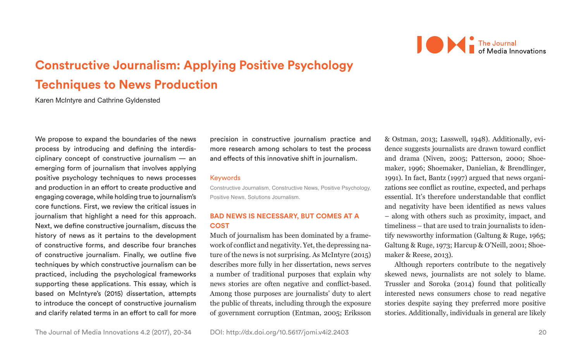

# **Constructive Journalism: Applying Positive Psychology Techniques to News Production**

Karen McIntyre and Cathrine Gyldensted

We propose to expand the boundaries of the news process by introducing and defining the interdisciplinary concept of constructive journalism — an emerging form of journalism that involves applying positive psychology techniques to news processes and production in an effort to create productive and engaging coverage, while holding true to journalism's core functions. First, we review the critical issues in journalism that highlight a need for this approach. Next, we define constructive journalism, discuss the history of news as it pertains to the development of constructive forms, and describe four branches of constructive journalism. Finally, we outline five techniques by which constructive journalism can be practiced, including the psychological frameworks supporting these applications. This essay, which is based on McIntyre's (2015) dissertation, attempts to introduce the concept of constructive journalism and clarify related terms in an effort to call for more

precision in constructive journalism practice and more research among scholars to test the process and effects of this innovative shift in journalism.

#### Keywords

Constructive Journalism, Constructive News, Positive Psychology, Positive News, Solutions Journalism.

# **BAD NEWS IS NECESSARY, BUT COMES AT A COST**

Much of journalism has been dominated by a framework of conflict and negativity. Yet, the depressing nature of the news is not surprising. As McIntyre (2015) describes more fully in her dissertation, news serves a number of traditional purposes that explain why news stories are often negative and conflict-based. Among those purposes are journalists' duty to alert the public of threats, including through the exposure of government corruption (Entman, 2005; Eriksson

& Ostman, 2013; Lasswell, 1948). Additionally, evidence suggests journalists are drawn toward conflict and drama (Niven, 2005; Patterson, 2000; Shoemaker, 1996; Shoemaker, Danielian, & Brendlinger, 1991). In fact, Bantz (1997) argued that news organizations see conflict as routine, expected, and perhaps essential. It's therefore understandable that conflict and negativity have been identified as news values – along with others such as proximity, impact, and timeliness – that are used to train journalists to identify newsworthy information (Galtung & Ruge, 1965; Galtung & Ruge, 1973; Harcup & O'Neill, 2001; Shoemaker & Reese, 2013).

Although reporters contribute to the negatively skewed news, journalists are not solely to blame. Trussler and Soroka (2014) found that politically interested news consumers chose to read negative stories despite saying they preferred more positive stories. Additionally, individuals in general are likely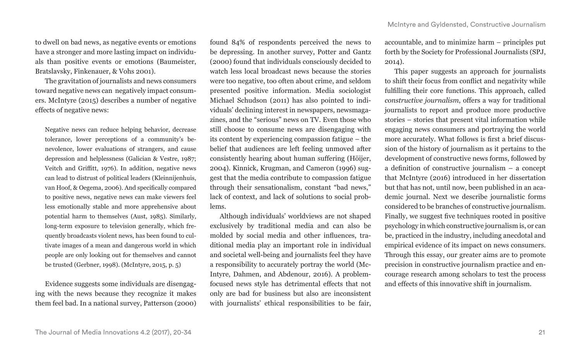to dwell on bad news, as negative events or emotions have a stronger and more lasting impact on individuals than positive events or emotions (Baumeister, Bratslavsky, Finkenauer, & Vohs 2001).

The gravitation of journalists and news consumers toward negative news can negatively impact consumers. McIntyre (2015) describes a number of negative effects of negative news:

Negative news can reduce helping behavior, decrease tolerance, lower perceptions of a community's benevolence, lower evaluations of strangers, and cause depression and helplessness (Galician & Vestre, 1987; Veitch and Griffitt, 1976). In addition, negative news can lead to distrust of political leaders (Kleinnijenhuis, van Hoof, & Oegema, 2006). And specifically compared to positive news, negative news can make viewers feel less emotionally stable and more apprehensive about potential harm to themselves (Aust, 1985). Similarly, long-term exposure to television generally, which frequently broadcasts violent news, has been found to cultivate images of a mean and dangerous world in which people are only looking out for themselves and cannot be trusted (Gerbner, 1998). (McIntyre, 2015, p. 5)

Evidence suggests some individuals are disengaging with the news because they recognize it makes them feel bad. In a national survey, Patterson (2000)

found 84% of respondents perceived the news to be depressing. In another survey, Potter and Gantz (2000) found that individuals consciously decided to watch less local broadcast news because the stories were too negative, too often about crime, and seldom presented positive information. Media sociologist Michael Schudson (2011) has also pointed to individuals' declining interest in newspapers, newsmagazines, and the "serious" news on TV. Even those who still choose to consume news are disengaging with its content by experiencing compassion fatigue – the belief that audiences are left feeling unmoved after consistently hearing about human suffering (Höijer, 2004). Kinnick, Krugman, and Cameron (1996) suggest that the media contribute to compassion fatigue through their sensationalism, constant "bad news," lack of context, and lack of solutions to social problems.

Although individuals' worldviews are not shaped exclusively by traditional media and can also be molded by social media and other influences, traditional media play an important role in individual and societal well-being and journalists feel they have a responsibility to accurately portray the world (Mc-Intyre, Dahmen, and Abdenour, 2016). A problemfocused news style has detrimental effects that not only are bad for business but also are inconsistent with journalists' ethical responsibilities to be fair,

accountable, and to minimize harm – principles put forth by the Society for Professional Journalists (SPJ, 2014).

This paper suggests an approach for journalists to shift their focus from conflict and negativity while fulfilling their core functions. This approach, called *constructive journalism*, offers a way for traditional journalists to report and produce more productive stories – stories that present vital information while engaging news consumers and portraying the world more accurately. What follows is first a brief discussion of the history of journalism as it pertains to the development of constructive news forms, followed by a definition of constructive journalism – a concept that McIntyre (2016) introduced in her dissertation but that has not, until now, been published in an academic journal. Next we describe journalistic forms considered to be branches of constructive journalism. Finally, we suggest five techniques rooted in positive psychology in which constructive journalism is, or can be, practiced in the industry, including anecdotal and empirical evidence of its impact on news consumers. Through this essay, our greater aims are to promote precision in constructive journalism practice and encourage research among scholars to test the process and effects of this innovative shift in journalism.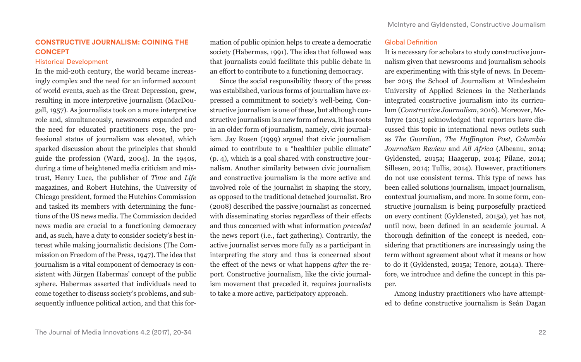# **CONSTRUCTIVE JOURNALISM: COINING THE CONCEPT**

# Historical Development

In the mid-20th century, the world became increasingly complex and the need for an informed account of world events, such as the Great Depression, grew, resulting in more interpretive journalism (MacDougall, 1957). As journalists took on a more interpretive role and, simultaneously, newsrooms expanded and the need for educated practitioners rose, the professional status of journalism was elevated, which sparked discussion about the principles that should guide the profession (Ward, 2004). In the 1940s, during a time of heightened media criticism and mistrust, Henry Luce, the publisher of *Time* and *Life* magazines, and Robert Hutchins, the University of Chicago president, formed the Hutchins Commission and tasked its members with determining the functions of the US news media. The Commission decided news media are crucial to a functioning democracy and, as such, have a duty to consider society's best interest while making journalistic decisions (The Commission on Freedom of the Press, 1947). The idea that journalism is a vital component of democracy is consistent with Jürgen Habermas' concept of the public sphere. Habermas asserted that individuals need to come together to discuss society's problems, and subsequently influence political action, and that this formation of public opinion helps to create a democratic society (Habermas, 1991). The idea that followed was that journalists could facilitate this public debate in an effort to contribute to a functioning democracy.

Since the social responsibility theory of the press was established, various forms of journalism have expressed a commitment to society's well-being. Constructive journalism is one of these, but although constructive journalism is a new form of news, it has roots in an older form of journalism, namely, civic journalism. Jay Rosen (1999) argued that civic journalism aimed to contribute to a "healthier public climate" (p. 4), which is a goal shared with constructive journalism. Another similarity between civic journalism and constructive journalism is the more active and involved role of the journalist in shaping the story, as opposed to the traditional detached journalist. Bro (2008) described the passive journalist as concerned with disseminating stories regardless of their effects and thus concerned with what information *preceded* the news report (i.e., fact gathering). Contrarily, the active journalist serves more fully as a participant in interpreting the story and thus is concerned about the effect of the news or what happens *after* the report. Constructive journalism, like the civic journalism movement that preceded it, requires journalists to take a more active, participatory approach.

# Global Definition

It is necessary for scholars to study constructive journalism given that newsrooms and journalism schools are experimenting with this style of news. In December 2015 the School of Journalism at Windesheim University of Applied Sciences in the Netherlands integrated constructive journalism into its curriculum (*Constructive Journalism*, 2016). Moreover, Mc-Intyre (2015) acknowledged that reporters have discussed this topic in international news outlets such as *The Guardian*, *The Huffington Post*, *Columbia Journalism Review* and *All Africa* (Albeanu, 2014; Gyldensted, 2015a; Haagerup, 2014; Pilane, 2014; Sillesen, 2014; Tullis, 2014). However, practitioners do not use consistent terms. This type of news has been called solutions journalism, impact journalism, contextual journalism, and more. In some form, constructive journalism is being purposefully practiced on every continent (Gyldensted, 2015a), yet has not, until now, been defined in an academic journal. A thorough definition of the concept is needed, considering that practitioners are increasingly using the term without agreement about what it means or how to do it (Gyldensted, 2015a; Tenore, 2014a). Therefore, we introduce and define the concept in this paper.

Among industry practitioners who have attempted to define constructive journalism is Seán Dagan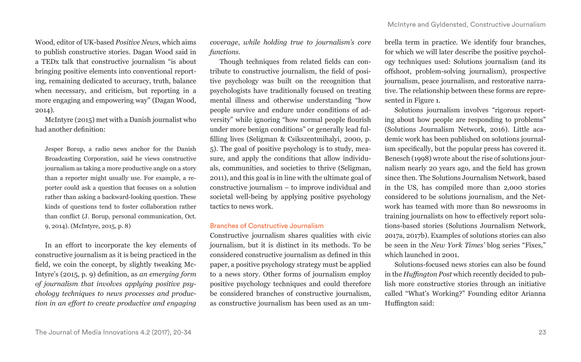Wood, editor of UK-based *Positive News*, which aims to publish constructive stories. Dagan Wood said in a TEDx talk that constructive journalism "is about bringing positive elements into conventional reporting, remaining dedicated to accuracy, truth, balance when necessary, and criticism, but reporting in a more engaging and empowering way" (Dagan Wood, 2014).

McIntyre (2015) met with a Danish journalist who had another definition:

Jesper Borup, a radio news anchor for the Danish Broadcasting Corporation, said he views constructive journalism as taking a more productive angle on a story than a reporter might usually use. For example, a reporter could ask a question that focuses on a solution rather than asking a backward-looking question. These kinds of questions tend to foster collaboration rather than conflict (J. Borup, personal communication, Oct. 9, 2014). (McIntyre, 2015, p. 8)

In an effort to incorporate the key elements of constructive journalism as it is being practiced in the field, we coin the concept, by slightly tweaking Mc-Intyre's (2015, p. 9) definition, as *an emerging form of journalism that involves applying positive psychology techniques to news processes and production in an effort to create productive and engaging* 

*coverage, while holding true to journalism's core functions.* 

Though techniques from related fields can contribute to constructive journalism, the field of positive psychology was built on the recognition that psychologists have traditionally focused on treating mental illness and otherwise understanding "how people survive and endure under conditions of adversity" while ignoring "how normal people flourish under more benign conditions" or generally lead fulfilling lives (Seligman & Csikszentmihalyi, 2000, p. 5). The goal of positive psychology is to study, measure, and apply the conditions that allow individuals, communities, and societies to thrive (Seligman, 2011), and this goal is in line with the ultimate goal of constructive journalism – to improve individual and societal well-being by applying positive psychology tactics to news work.

### Branches of Constructive Journalism

Constructive journalism shares qualities with civic journalism, but it is distinct in its methods. To be considered constructive journalism as defined in this paper, a positive psychology strategy must be applied to a news story. Other forms of journalism employ positive psychology techniques and could therefore be considered branches of constructive journalism, as constructive journalism has been used as an um-

brella term in practice. We identify four branches, for which we will later describe the positive psychology techniques used: Solutions journalism (and its offshoot, problem-solving journalism), prospective journalism, peace journalism, and restorative narrative. The relationship between these forms are represented in Figure 1.

Solutions journalism involves "rigorous reporting about how people are responding to problems" (Solutions Journalism Network, 2016). Little academic work has been published on solutions journalism specifically, but the popular press has covered it. Benesch (1998) wrote about the rise of solutions journalism nearly 20 years ago, and the field has grown since then. The Solutions Journalism Network, based in the US, has compiled more than 2,000 stories considered to be solutions journalism, and the Network has teamed with more than 80 newsrooms in training journalists on how to effectively report solutions-based stories (Solutions Journalism Network, 2017a, 2017b). Examples of solutions stories can also be seen in the *New York Times'* blog series "Fixes," which launched in 2001.

Solutions-focused news stories can also be found in the *Huffington Post* which recently decided to publish more constructive stories through an initiative called "What's Working?" Founding editor Arianna Huffington said: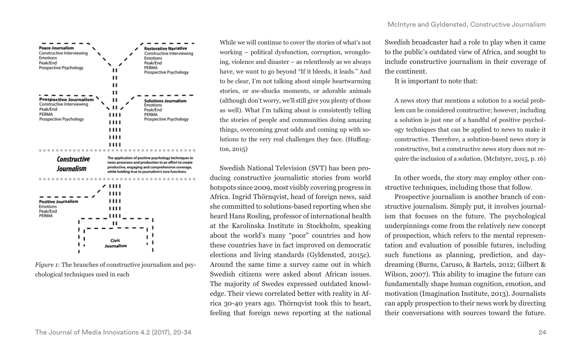

*Figure 1:* The branches of constructive journalism and psychological techniques used in each

While we will continue to cover the stories of what's not working – political dysfunction, corruption, wrongdoing, violence and disaster – as relentlessly as we always have, we want to go beyond "If it bleeds, it leads." And to be clear, I'm not talking about simple heartwarming stories, or aw-shucks moments, or adorable animals (although don't worry, we'll still give you plenty of those as well). What I'm talking about is consistently telling the stories of people and communities doing amazing things, overcoming great odds and coming up with solutions to the very real challenges they face. (Huffington, 2015)

Swedish National Television (SVT) has been producing constructive journalistic stories from world hotspots since 2009, most visibly covering progress in Africa. Ingrid Thörnqvist, head of foreign news, said she committed to solutions-based reporting when she heard Hans Rosling, professor of international health at the Karolinska Institute in Stockholm, speaking about the world's many "poor" countries and how these countries have in fact improved on democratic elections and living standards (Gyldensted, 2015c). Around the same time a survey came out in which Swedish citizens were asked about African issues. The majority of Swedes expressed outdated knowledge. Their views correlated better with reality in Africa 30-40 years ago. Thörnqvist took this to heart, feeling that foreign news reporting at the national

Swedish broadcaster had a role to play when it came to the public's outdated view of Africa, and sought to include constructive journalism in their coverage of the continent.

It is important to note that:

A news story that mentions a solution to a social problem can be considered constructive; however, including a solution is just one of a handful of positive psychology techniques that can be applied to news to make it constructive. Therefore, a solution-based news story is constructive, but a constructive news story does not require the inclusion of a solution. (McIntyre, 2015, p. 16)

In other words, the story may employ other constructive techniques, including those that follow.

Prospective journalism is another branch of constructive journalism. Simply put, it involves journalism that focuses on the future. The psychological underpinnings come from the relatively new concept of prospection, which refers to the mental representation and evaluation of possible futures, including such functions as planning, prediction, and daydreaming (Burns, Caruso, & Bartels, 2012; Gilbert & Wilson, 2007). This ability to imagine the future can fundamentally shape human cognition, emotion, and motivation (Imagination Institute, 2013). Journalists can apply prospection to their news work by directing their conversations with sources toward the future.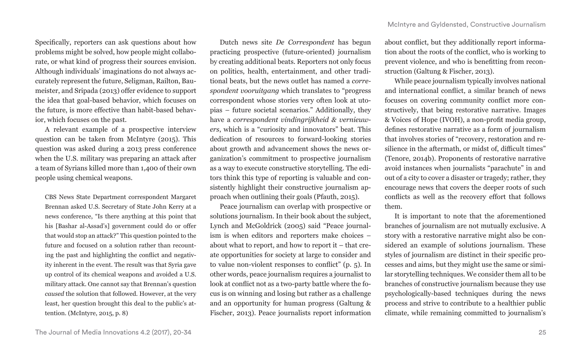Specifically, reporters can ask questions about how problems might be solved, how people might collaborate, or what kind of progress their sources envision. Although individuals' imaginations do not always accurately represent the future, Seligman, Railton, Baumeister, and Sripada (2013) offer evidence to support the idea that goal-based behavior, which focuses on the future, is more effective than habit-based behavior, which focuses on the past.

A relevant example of a prospective interview question can be taken from McIntyre (2015). This question was asked during a 2013 press conference when the U.S. military was preparing an attack after a team of Syrians killed more than 1,400 of their own people using chemical weapons.

CBS News State Department correspondent Margaret Brennan asked U.S. Secretary of State John Kerry at a news conference, "Is there anything at this point that his [Bashar al-Assad's] government could do or offer that would stop an attack?" This question pointed to the future and focused on a solution rather than recounting the past and highlighting the conflict and negativity inherent in the event. The result was that Syria gave up control of its chemical weapons and avoided a U.S. military attack. One cannot say that Brennan's question *caused* the solution that followed. However, at the very least, her question brought this deal to the public's attention. (McIntyre, 2015, p. 8)

Dutch news site *De Correspondent* has begun practicing prospective (future-oriented) journalism by creating additional beats. Reporters not only focus on politics, health, entertainment, and other traditional beats, but the news outlet has named a *correspondent vooruitgang* which translates to "progress correspondent whose stories very often look at utopias – future societal scenarios." Additionally, they have a *correspondent vindingrijkheid & vernieuwers*, which is a "curiosity and innovators" beat. This dedication of resources to forward-looking stories about growth and advancement shows the news organization's commitment to prospective journalism as a way to execute constructive storytelling. The editors think this type of reporting is valuable and consistently highlight their constructive journalism approach when outlining their goals (Pfauth, 2015).

Peace journalism can overlap with prospective or solutions journalism. In their book about the subject, Lynch and McGoldrick (2005) said "Peace journalism is when editors and reporters make choices – about what to report, and how to report it – that create opportunities for society at large to consider and to value non-violent responses to conflict" (p. 5). In other words, peace journalism requires a journalist to look at conflict not as a two-party battle where the focus is on winning and losing but rather as a challenge and an opportunity for human progress (Galtung & Fischer, 2013). Peace journalists report information about conflict, but they additionally report information about the roots of the conflict, who is working to prevent violence, and who is benefitting from reconstruction (Galtung & Fischer, 2013).

While peace journalism typically involves national and international conflict, a similar branch of news focuses on covering community conflict more constructively, that being restorative narrative. Images & Voices of Hope (IVOH), a non-profit media group, defines restorative narrative as a form of journalism that involves stories of "recovery, restoration and resilience in the aftermath, or midst of, difficult times" (Tenore, 2014b). Proponents of restorative narrative avoid instances when journalists "parachute" in and out of a city to cover a disaster or tragedy; rather, they encourage news that covers the deeper roots of such conflicts as well as the recovery effort that follows them.

It is important to note that the aforementioned branches of journalism are not mutually exclusive. A story with a restorative narrative might also be considered an example of solutions journalism. These styles of journalism are distinct in their specific processes and aims, but they might use the same or similar storytelling techniques. We consider them all to be branches of constructive journalism because they use psychologically-based techniques during the news process and strive to contribute to a healthier public climate, while remaining committed to journalism's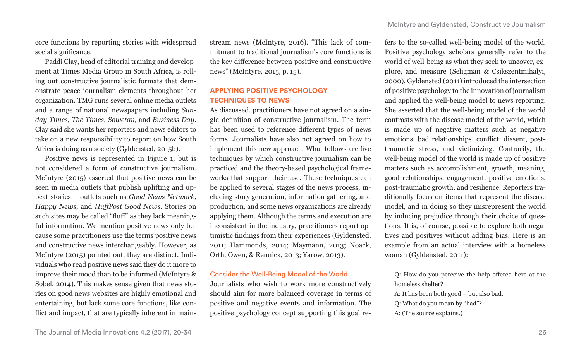core functions by reporting stories with widespread social significance.

Paddi Clay, head of editorial training and development at Times Media Group in South Africa, is rolling out constructive journalistic formats that demonstrate peace journalism elements throughout her organization. TMG runs several online media outlets and a range of national newspapers including *Sunday Times*, *The Times*, *Sowetan,* and *Business Day*. Clay said she wants her reporters and news editors to take on a new responsibility to report on how South Africa is doing as a society (Gyldensted, 2015b).

Positive news is represented in Figure 1, but is not considered a form of constructive journalism. McIntyre (2015) asserted that positive news can be seen in media outlets that publish uplifting and upbeat stories – outlets such as *Good News Network, Happy News*, and *HuffPost Good News*. Stories on such sites may be called "fluff" as they lack meaningful information. We mention positive news only because some practitioners use the terms positive news and constructive news interchangeably. However, as McIntyre (2015) pointed out, they are distinct. Individuals who read positive news said they do it more to improve their mood than to be informed (McIntyre & Sobel, 2014). This makes sense given that news stories on good news websites are highly emotional and entertaining, but lack some core functions, like conflict and impact, that are typically inherent in mainstream news (McIntyre, 2016). "This lack of commitment to traditional journalism's core functions is the key difference between positive and constructive news" (McIntyre, 2015, p. 15).

# **APPLYING POSITIVE PSYCHOLOGY TECHNIQUES TO NEWS**

As discussed, practitioners have not agreed on a single definition of constructive journalism. The term has been used to reference different types of news forms. Journalists have also not agreed on how to implement this new approach. What follows are five techniques by which constructive journalism can be practiced and the theory-based psychological frameworks that support their use. These techniques can be applied to several stages of the news process, including story generation, information gathering, and production, and some news organizations are already applying them. Although the terms and execution are inconsistent in the industry, practitioners report optimistic findings from their experiences (Gyldensted, 2011; Hammonds, 2014; Maymann, 2013; Noack, Orth, Owen, & Rennick, 2013; Yarow, 2013).

# Consider the Well-Being Model of the World

Journalists who wish to work more constructively should aim for more balanced coverage in terms of positive and negative events and information. The positive psychology concept supporting this goal refers to the so-called well-being model of the world. Positive psychology scholars generally refer to the world of well-being as what they seek to uncover, explore, and measure (Seligman & Csikszentmihalyi, 2000). Gyldensted (2011) introduced the intersection of positive psychology to the innovation of journalism and applied the well-being model to news reporting. She asserted that the well-being model of the world contrasts with the disease model of the world, which is made up of negative matters such as negative emotions, bad relationships, conflict, dissent, posttraumatic stress, and victimizing. Contrarily, the well-being model of the world is made up of positive matters such as accomplishment, growth, meaning, good relationships, engagement, positive emotions, post-traumatic growth, and resilience. Reporters traditionally focus on items that represent the disease model, and in doing so they misrepresent the world by inducing prejudice through their choice of questions. It is, of course, possible to explore both negatives and positives without adding bias. Here is an example from an actual interview with a homeless woman (Gyldensted, 2011):

Q: How do you perceive the help offered here at the homeless shelter?

A: It has been both good – but also bad.

Q: What do you mean by "bad"?

A: (The source explains.)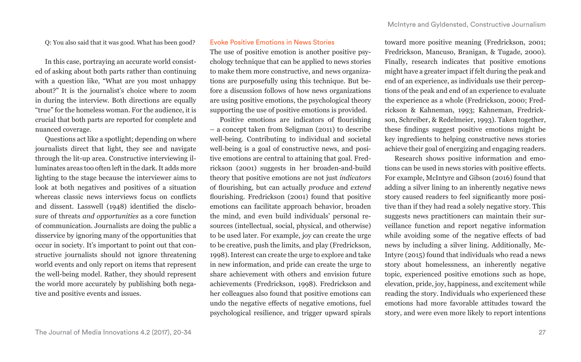Q: You also said that it was good. What has been good?

In this case, portraying an accurate world consisted of asking about both parts rather than continuing with a question like, "What are you most unhappy about?" It is the journalist's choice where to zoom in during the interview. Both directions are equally "true" for the homeless woman. For the audience, it is crucial that both parts are reported for complete and nuanced coverage.

Questions act like a spotlight; depending on where journalists direct that light, they see and navigate through the lit-up area. Constructive interviewing illuminates areas too often left in the dark. It adds more lighting to the stage because the interviewer aims to look at both negatives and positives of a situation whereas classic news interviews focus on conflicts and dissent. Lasswell (1948) identified the disclosure of threats *and opportunities* as a core function of communication. Journalists are doing the public a disservice by ignoring many of the opportunities that occur in society. It's important to point out that constructive journalists should not ignore threatening world events and only report on items that represent the well-being model. Rather, they should represent the world more accurately by publishing both negative and positive events and issues.

#### Evoke Positive Emotions in News Stories

The use of positive emotion is another positive psychology technique that can be applied to news stories to make them more constructive, and news organizations are purposefully using this technique. But before a discussion follows of how news organizations are using positive emotions, the psychological theory supporting the use of positive emotions is provided.

Positive emotions are indicators of flourishing – a concept taken from Seligman (2011) to describe well-being. Contributing to individual and societal well-being is a goal of constructive news, and positive emotions are central to attaining that goal. Fredrickson (2001) suggests in her broaden-and-build theory that positive emotions are not just *indicators*  of flourishing, but can actually *produce* and *extend* flourishing. Fredrickson (2001) found that positive emotions can facilitate approach behavior, broaden the mind, and even build individuals' personal resources (intellectual, social, physical, and otherwise) to be used later. For example, joy can create the urge to be creative, push the limits, and play (Fredrickson, 1998). Interest can create the urge to explore and take in new information, and pride can create the urge to share achievement with others and envision future achievements (Fredrickson, 1998). Fredrickson and her colleagues also found that positive emotions can undo the negative effects of negative emotions, fuel psychological resilience, and trigger upward spirals toward more positive meaning (Fredrickson, 2001; Fredrickson, Mancuso, Branigan, & Tugade, 2000). Finally, research indicates that positive emotions might have a greater impact if felt during the peak and end of an experience, as individuals use their perceptions of the peak and end of an experience to evaluate the experience as a whole (Fredrickson, 2000; Fredrickson & Kahneman, 1993; Kahneman, Fredrickson, Schreiber, & Redelmeier, 1993). Taken together, these findings suggest positive emotions might be key ingredients to helping constructive news stories achieve their goal of energizing and engaging readers.

Research shows positive information and emotions can be used in news stories with positive effects. For example, McIntyre and Gibson (2016) found that adding a silver lining to an inherently negative news story caused readers to feel significantly more positive than if they had read a solely negative story. This suggests news practitioners can maintain their surveillance function and report negative information while avoiding some of the negative effects of bad news by including a silver lining. Additionally, Mc-Intyre (2015) found that individuals who read a news story about homelessness, an inherently negative topic, experienced positive emotions such as hope, elevation, pride, joy, happiness, and excitement while reading the story. Individuals who experienced these emotions had more favorable attitudes toward the story, and were even more likely to report intentions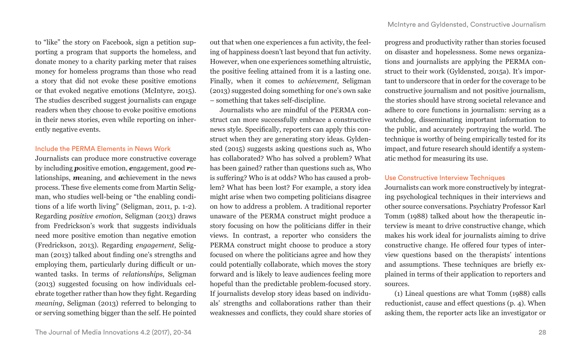to "like" the story on Facebook, sign a petition supporting a program that supports the homeless, and donate money to a charity parking meter that raises money for homeless programs than those who read a story that did not evoke these positive emotions or that evoked negative emotions (McIntyre, 2015). The studies described suggest journalists can engage readers when they choose to evoke positive emotions in their news stories, even while reporting on inherently negative events.

## Include the PERMA Elements in News Work

Journalists can produce more constructive coverage by including *p*ositive emotion, *e*ngagement, good *r*elationships, *m*eaning, and *a*chievement in the news process. These five elements come from Martin Seligman, who studies well-being or "the enabling conditions of a life worth living" (Seligman, 2011, p. 1-2). Regarding *positive emotion*, Seligman (2013) draws from Fredrickson's work that suggests individuals need more positive emotion than negative emotion (Fredrickson, 2013). Regarding *engagement*, Seligman (2013) talked about finding one's strengths and employing them, particularly during difficult or unwanted tasks. In terms of *relationships*, Seligman (2013) suggested focusing on how individuals celebrate together rather than how they fight. Regarding *meaning*, Seligman (2013) referred to belonging to or serving something bigger than the self. He pointed

out that when one experiences a fun activity, the feeling of happiness doesn't last beyond that fun activity. However, when one experiences something altruistic, the positive feeling attained from it is a lasting one. Finally, when it comes to *achievement*, Seligman (2013) suggested doing something for one's own sake – something that takes self-discipline.

Journalists who are mindful of the PERMA construct can more successfully embrace a constructive news style. Specifically, reporters can apply this construct when they are generating story ideas. Gyldensted (2015) suggests asking questions such as, Who has collaborated? Who has solved a problem? What has been gained? rather than questions such as, Who is suffering? Who is at odds? Who has caused a problem? What has been lost? For example, a story idea might arise when two competing politicians disagree on how to address a problem. A traditional reporter unaware of the PERMA construct might produce a story focusing on how the politicians differ in their views. In contrast, a reporter who considers the PERMA construct might choose to produce a story focused on where the politicians agree and how they could potentially collaborate, which moves the story forward and is likely to leave audiences feeling more hopeful than the predictable problem-focused story. If journalists develop story ideas based on individuals' strengths and collaborations rather than their weaknesses and conflicts, they could share stories of

progress and productivity rather than stories focused on disaster and hopelessness. Some news organizations and journalists are applying the PERMA construct to their work (Gyldensted, 2015a). It's important to underscore that in order for the coverage to be constructive journalism and not positive journalism, the stories should have strong societal relevance and adhere to core functions in journalism: serving as a watchdog, disseminating important information to the public, and accurately portraying the world. The technique is worthy of being empirically tested for its impact, and future research should identify a systematic method for measuring its use.

## Use Constructive Interview Techniques

Journalists can work more constructively by integrating psychological techniques in their interviews and other source conversations. Psychiatry Professor Karl Tomm (1988) talked about how the therapeutic interview is meant to drive constructive change, which makes his work ideal for journalists aiming to drive constructive change. He offered four types of interview questions based on the therapists' intentions and assumptions. These techniques are briefly explained in terms of their application to reporters and sources.

(1) Lineal questions are what Tomm (1988) calls reductionist, cause and effect questions (p. 4). When asking them, the reporter acts like an investigator or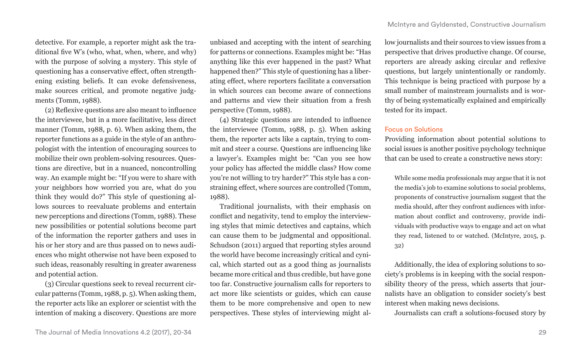detective. For example, a reporter might ask the traditional five W's (who, what, when, where, and why) with the purpose of solving a mystery. This style of questioning has a conservative effect, often strengthening existing beliefs. It can evoke defensiveness, make sources critical, and promote negative judgments (Tomm, 1988).

(2) Reflexive questions are also meant to influence the interviewee, but in a more facilitative, less direct manner (Tomm, 1988, p. 6). When asking them, the reporter functions as a guide in the style of an anthropologist with the intention of encouraging sources to mobilize their own problem-solving resources. Questions are directive, but in a nuanced, noncontrolling way. An example might be: "If you were to share with your neighbors how worried you are, what do you think they would do?" This style of questioning allows sources to reevaluate problems and entertain new perceptions and directions (Tomm, 1988). These new possibilities or potential solutions become part of the information the reporter gathers and uses in his or her story and are thus passed on to news audiences who might otherwise not have been exposed to such ideas, reasonably resulting in greater awareness and potential action.

(3) Circular questions seek to reveal recurrent circular patterns (Tomm, 1988, p. 5). When asking them, the reporter acts like an explorer or scientist with the intention of making a discovery. Questions are more

unbiased and accepting with the intent of searching for patterns or connections. Examples might be: "Has anything like this ever happened in the past? What happened then?" This style of questioning has a liberating effect, where reporters facilitate a conversation in which sources can become aware of connections and patterns and view their situation from a fresh perspective (Tomm, 1988).

(4) Strategic questions are intended to influence the interviewee (Tomm, 1988, p. 5). When asking them, the reporter acts like a captain, trying to commit and steer a course. Questions are influencing like a lawyer's. Examples might be: "Can you see how your policy has affected the middle class? How come you're not willing to try harder?" This style has a constraining effect, where sources are controlled (Tomm, 1988).

Traditional journalists, with their emphasis on conflict and negativity, tend to employ the interviewing styles that mimic detectives and captains, which can cause them to be judgmental and oppositional. Schudson (2011) argued that reporting styles around the world have become increasingly critical and cynical, which started out as a good thing as journalists became more critical and thus credible, but have gone too far. Constructive journalism calls for reporters to act more like scientists or guides, which can cause them to be more comprehensive and open to new perspectives. These styles of interviewing might allow journalists and their sources to view issues from a perspective that drives productive change. Of course, reporters are already asking circular and reflexive questions, but largely unintentionally or randomly. This technique is being practiced with purpose by a small number of mainstream journalists and is worthy of being systematically explained and empirically tested for its impact.

# Focus on Solutions

Providing information about potential solutions to social issues is another positive psychology technique that can be used to create a constructive news story:

While some media professionals may argue that it is not the media's job to examine solutions to social problems, proponents of constructive journalism suggest that the media should, after they confront audiences with information about conflict and controversy, provide individuals with productive ways to engage and act on what they read, listened to or watched. (McIntyre, 2015, p. 32)

Additionally, the idea of exploring solutions to society's problems is in keeping with the social responsibility theory of the press, which asserts that journalists have an obligation to consider society's best interest when making news decisions.

Journalists can craft a solutions-focused story by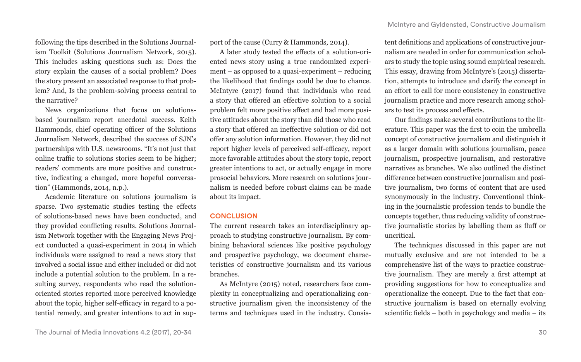following the tips described in the Solutions Journalism Toolkit (Solutions Journalism Network, 2015). This includes asking questions such as: Does the story explain the causes of a social problem? Does the story present an associated response to that problem? And, Is the problem-solving process central to the narrative?

News organizations that focus on solutionsbased journalism report anecdotal success. Keith Hammonds, chief operating officer of the Solutions Journalism Network, described the success of SJN's partnerships with U.S. newsrooms. "It's not just that online traffic to solutions stories seem to be higher; readers' comments are more positive and constructive, indicating a changed, more hopeful conversation" (Hammonds, 2014, n.p.).

Academic literature on solutions journalism is sparse. Two systematic studies testing the effects of solutions-based news have been conducted, and they provided conflicting results. Solutions Journalism Network together with the Engaging News Project conducted a quasi-experiment in 2014 in which individuals were assigned to read a news story that involved a social issue and either included or did not include a potential solution to the problem. In a resulting survey, respondents who read the solutionoriented stories reported more perceived knowledge about the topic, higher self-efficacy in regard to a potential remedy, and greater intentions to act in support of the cause (Curry & Hammonds, 2014).

A later study tested the effects of a solution-oriented news story using a true randomized experiment – as opposed to a quasi-experiment – reducing the likelihood that findings could be due to chance. McIntyre (2017) found that individuals who read a story that offered an effective solution to a social problem felt more positive affect and had more positive attitudes about the story than did those who read a story that offered an ineffective solution or did not offer any solution information. However, they did not report higher levels of perceived self-efficacy, report more favorable attitudes about the story topic, report greater intentions to act, or actually engage in more prosocial behaviors. More research on solutions journalism is needed before robust claims can be made about its impact.

# **CONCLUSION**

The current research takes an interdisciplinary approach to studying constructive journalism. By combining behavioral sciences like positive psychology and prospective psychology, we document characteristics of constructive journalism and its various branches.

As McIntyre (2015) noted, researchers face complexity in conceptualizing and operationalizing constructive journalism given the inconsistency of the terms and techniques used in the industry. Consis-

tent definitions and applications of constructive journalism are needed in order for communication scholars to study the topic using sound empirical research. This essay, drawing from McIntyre's (2015) dissertation, attempts to introduce and clarify the concept in an effort to call for more consistency in constructive journalism practice and more research among scholars to test its process and effects.

Our findings make several contributions to the literature. This paper was the first to coin the umbrella concept of constructive journalism and distinguish it as a larger domain with solutions journalism, peace journalism, prospective journalism, and restorative narratives as branches. We also outlined the distinct difference between constructive journalism and positive journalism, two forms of content that are used synonymously in the industry. Conventional thinking in the journalistic profession tends to bundle the concepts together, thus reducing validity of constructive journalistic stories by labelling them as fluff or uncritical.

The techniques discussed in this paper are not mutually exclusive and are not intended to be a comprehensive list of the ways to practice constructive journalism. They are merely a first attempt at providing suggestions for how to conceptualize and operationalize the concept. Due to the fact that constructive journalism is based on eternally evolving scientific fields – both in psychology and media – its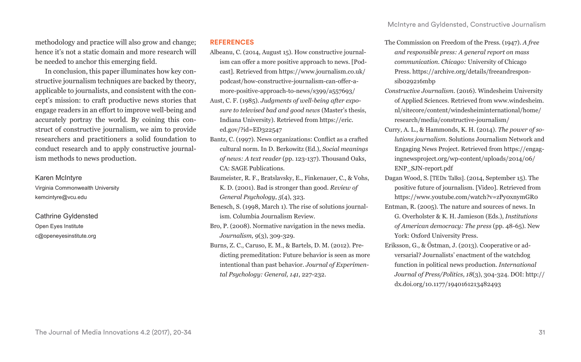methodology and practice will also grow and change; hence it's not a static domain and more research will be needed to anchor this emerging field.

In conclusion, this paper illuminates how key constructive journalism techniques are backed by theory, applicable to journalists, and consistent with the concept's mission: to craft productive news stories that engage readers in an effort to improve well-being and accurately portray the world. By coining this construct of constructive journalism, we aim to provide researchers and practitioners a solid foundation to conduct research and to apply constructive journalism methods to news production.

### Karen McIntyre

Virginia Commonwealth University kemcintyre@vcu.edu

Cathrine Gyldensted Open Eyes Institute c@openeyesinstitute.org

#### **REFERENCES**

- Albeanu, C. (2014, August 15). How constructive journalism can offer a more positive approach to news. [Podcast]. Retrieved from https://www.journalism.co.uk/ podcast/how-constructive-journalism-can-offer-amore-positive-approach-to-news/s399/a557693/
- Aust, C. F. (1985). *Judgments of well-being after exposure to televised bad and good news* (Master's thesis, Indiana University). Retrieved from https://eric. ed.gov/?id=ED322547
- Bantz, C. (1997). News organizations: Conflict as a crafted cultural norm. In D. Berkowitz (Ed.), *Social meanings of news: A text reader* (pp. 123-137). Thousand Oaks, CA: SAGE Publications.
- Baumeister, R. F., Bratslavsky, E., Finkenauer, C., & Vohs, K. D. (2001). Bad is stronger than good. *Review of General Psychology*, *5*(4), 323.
- Benesch, S. (1998, March 1). The rise of solutions journalism. Columbia Journalism Review.
- Bro, P. (2008). Normative navigation in the news media. *Journalism, 9*(3), 309-329.
- Burns, Z. C., Caruso, E. M., & Bartels, D. M. (2012). Predicting premeditation: Future behavior is seen as more intentional than past behavior. *Journal of Experimental Psychology: General, 141*, 227-232.
- The Commission on Freedom of the Press. (1947). *A free and responsible press: A general report on mass communication. Chicago:* University of Chicago Press. https://archive.org/details/freeandresponsib029216mbp
- *Constructive Journalism*. (2016). Windesheim University of Applied Sciences. Retrieved from www.windesheim. nl/sitecore/content/windesheiminternational/home/ research/media/constructive-journalism/
- Curry, A. L., & Hammonds, K. H. (2014). *The power of solutions journalism*. Solutions Journalism Network and Engaging News Project. Retrieved from https://engagingnewsproject.org/wp-content/uploads/2014/06/ ENP\_SJN-report.pdf
- Dagan Wood, S. [TEDx Talks]. (2014, September 15). The positive future of journalism. [Video]. Retrieved from https://www.youtube.com/watch?v=zPy0xnymGR0
- Entman, R. (2005). The nature and sources of news. In G. Overholster & K. H. Jamieson (Eds.), *Institutions of American democracy: The press* (pp. 48-65). New York: Oxford University Press.
- Eriksson, G., & Östman, J. (2013). Cooperative or adversarial? Journalists' enactment of the watchdog function in political news production. *International Journal of Press/Politics, 18*(3), 304-324. DOI: http:// dx.doi.org/10.1177/1940161213482493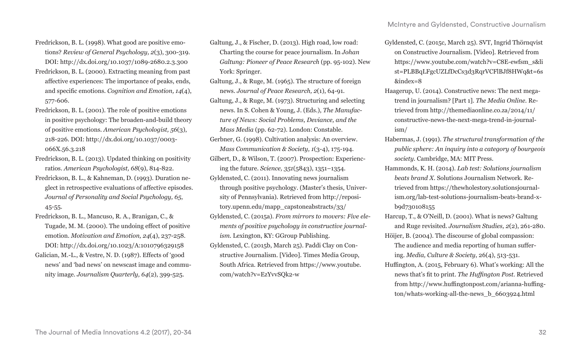- Fredrickson, B. L. (1998). What good are positive emotions? *Review of General Psychology, 2*(3), 300-319. DOI: http://dx.doi.org/10.1037/1089-2680.2.3.300
- Fredrickson, B. L. (2000). Extracting meaning from past affective experiences: The importance of peaks, ends, and specific emotions. *Cognition and Emotion, 14*(4), 577-606.
- Fredrickson, B. L. (2001). The role of positive emotions in positive psychology: The broaden-and-build theory of positive emotions. *American Psychologist, 56*(3), 218-226. DOI: http://dx.doi.org/10.1037/0003- 066X.56.3.218
- Fredrickson, B. L. (2013). Updated thinking on positivity ratios. *American Psychologist, 68*(9), 814-822.
- Fredrickson, B. L., & Kahneman, D. (1993). Duration neglect in retrospective evaluations of affective episodes. *Journal of Personality and Social Psychology, 65*, 45-55.
- Fredrickson, B. L., Mancuso, R. A., Branigan, C., & Tugade, M. M. (2000). The undoing effect of positive emotion. *Motivation and Emotion, 24*(4), 237-258. DOI: http://dx.doi.org/10.1023/A:1010796329158
- Galician, M.-L., & Vestre, N. D. (1987). Effects of 'good news' and 'bad news' on newscast image and community image. *Journalism Quarterly, 64*(2), 399-525.
- Galtung, J., & Fischer, D. (2013). High road, low road: Charting the course for peace journalism. In *Johan Galtung: Pioneer of Peace Research* (pp. 95-102). New York: Springer.
- Galtung, J., & Ruge, M. (1965). The structure of foreign news. *Journal of Peace Research, 2*(1), 64-91.
- Galtung, J., & Ruge, M. (1973). Structuring and selecting news. In S. Cohen & Young, J. (Eds.), *The Manufacture of News: Social Problems, Deviance, and the Mass Media* (pp. 62-72). London: Constable.
- Gerbner, G. (1998). Cultivation analysis: An overview. *Mass Communication & Society, 1*(3-4), 175-194.
- Gilbert, D., & Wilson, T. (2007). Prospection: Experiencing the future. *Science, 351*(5843), 1351–1354.
- Gyldensted, C. (2011). Innovating news journalism through positive psychology. (Master's thesis, University of Pennsylvania). Retrieved from http://repository.upenn.edu/mapp\_capstoneabstracts/33/
- Gyldensted, C. (2015a). *From mirrors to movers: Five elements of positive psychology in constructive journalism.* Lexington, KY: GGroup Publishing.
- Gyldensted, C. (2015b, March 25). Paddi Clay on Constructive Journalism. [Video]. Times Media Group, South Africa. Retrieved from https://www.youtube. com/watch?v=EzYvvSQk2-w
- Gyldensted, C. (2015c, March 25). SVT, Ingrid Thörnqvist on Constructive Journalism. [Video]. Retrieved from https://www.youtube.com/watch?v=C8E-ewfsm\_s&li st=PLBBqLFgcUZLfDcCs3d3RqrVCFlBJf8HWq&t=6s &index=8
- Haagerup, U. (2014). Constructive news: The next megatrend in journalism? [Part 1]. *The Media Online.* Retrieved from http://themediaonline.co.za/2014/11/ constructive-news-the-next-mega-trend-in-journalism/
- Habermas, J. (1991). *The structural transformation of the public sphere: An inquiry into a category of bourgeois society*. Cambridge, MA: MIT Press.
- Hammonds, K. H. (2014). *Lab test: Solutions journalism beats brand X*. Solutions Journalism Network. Retrieved from https://thewholestory.solutionsjournalism.org/lab-test-solutions-journalism-beats-brand-xb9d730108155
- Harcup, T., & O'Neill, D. (2001). What is news? Galtung and Ruge revisited. *Journalism Studies, 2*(2), 261-280.
- Höijer, B. (2004). The discourse of global compassion: The audience and media reporting of human suffering. *Media, Culture & Society*, 26(4), 513-531.
- Huffington, A. (2015, February 6). What's working: All the news that's fit to print. *The Huffington Post.* Retrieved from http://www.huffingtonpost.com/arianna-huffington/whats-working-all-the-news\_b\_6603924.html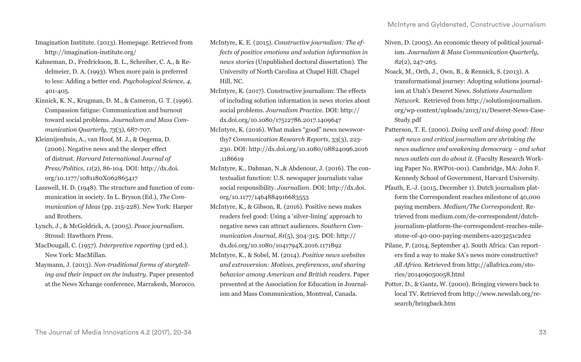Imagination Institute. (2013). Homepage. Retrieved from http://imagination-institute.org/

- Kahneman, D., Fredrickson, B. L., Schreiber, C. A., & Redelmeier, D. A. (1993). When more pain is preferred to less: Adding a better end. *Psychological Science, 4*, 401-405.
- Kinnick, K. N., Krugman, D. M., & Cameron, G. T. (1996). Compassion fatigue: Communication and burnout toward social problems. *Journalism and Mass Communication Quarterly, 73*(3), 687-707.
- Kleinnijenhuis, A., van Hoof, M. J., & Oegema, D. (2006). Negative news and the sleeper effect of distrust. *Harvard International Journal of Press/Politics, 11*(2), 86-104. DOI: http://dx.doi. org/10.1177/1081180X062865417
- Lasswell, H. D. (1948). The structure and function of communication in society. In L. Bryson (Ed.), *The Communication of Ideas* (pp. 215-228). New York: Harper and Brothers.
- Lynch, J., & McGoldrick, A. (2005). *Peace journalism*. Stroud: Hawthorn Press.
- MacDougall, C. (1957). *Interpretive reporting* (3rd ed.). New York: MacMillan.
- Maymann, J. (2013). *Non-traditional forms of storytelling and their impact on the industry*. Paper presented at the News Xchange conference, Marrakesh, Morocco.
- McIntyre, K. E. (2015). *Constructive journalism: The effects of positive emotions and solution information in news stories* (Unpublished doctoral dissertation). The University of North Carolina at Chapel Hill. Chapel Hill, NC.
- McIntyre, K. (2017). Constructive journalism: The effects of including solution information in news stories about social problems. *Journalism Practice.* DOI: http:// dx.doi.org/10.1080/17512786.2017.1409647
- McIntyre, K. (2016). What makes "good" news newsworthy? *Communication Research Reports*, 33(3), 223- 230. DOI: http://dx.doi.org/10.1080/08824096.2016 .1186619
- McIntyre, K., Dahman, N.,& Abdenour, J. (2016). The contextualist function: U.S. newspaper journalists value social responsibility. *Journalism*. DOI: http://dx.doi. org/10.1177/1464884916683553
- McIntyre, K., & Gibson, R. (2016). Positive news makes readers feel good: Using a 'silver-lining' approach to negative news can attract audiences. *Southern Communication Journal, 81*(5), 304-315. DOI: http:// dx.doi.org/10.1080/1041794X.2016.1171892
- McIntyre, K., & Sobel, M. (2014). *Positive news websites and extroversion: Motives, preferences, and sharing behavior among American and British readers*. Paper presented at the Association for Education in Journalism and Mass Communication, Montreal, Canada.
- Niven, D. (2005). An economic theory of political journalism. *Journalism & Mass Communication Quarterly, 82*(2), 247-263.
- Noack, M., Orth, J., Own, B., & Rennick, S. (2013). A transformational journey: Adopting solutions journalism at Utah's Deseret News. *Solutions Journalism Network.* Retrieved from http://solutionsjournalism. org/wp-content/uploads/2013/11/Deseret-News-Case-Study.pdf
- Patterson, T. E. (2000). *Doing well and doing good: How soft news and critical journalism are shrinking the news audience and weakening democracy – and what news outlets can do about it*. (Faculty Research Working Paper No. RWP01-001). Cambridge, MA: John F. Kennedy School of Government, Harvard University.
- Pfauth, E.-J. (2015, December 1). Dutch journalism platform the Correspondent reaches milestone of 40,000 paying members. *Medium/The Correspondent*. Retrieved from medium.com/de-correspondent/dutchjournalism-platform-the-correspondent-reaches-milestone-of-40-000-paying-members-a203251c2de2
- Pilane, P. (2014, September 4). South Africa: Can reporters find a way to make SA's news more constructive? *All Africa.* Retrieved from http://allafrica.com/stories/201409050058.html
- Potter, D., & Gantz, W. (2000). Bringing viewers back to local TV. Retrieved from http://www.newslab.org/research/bringback.htm